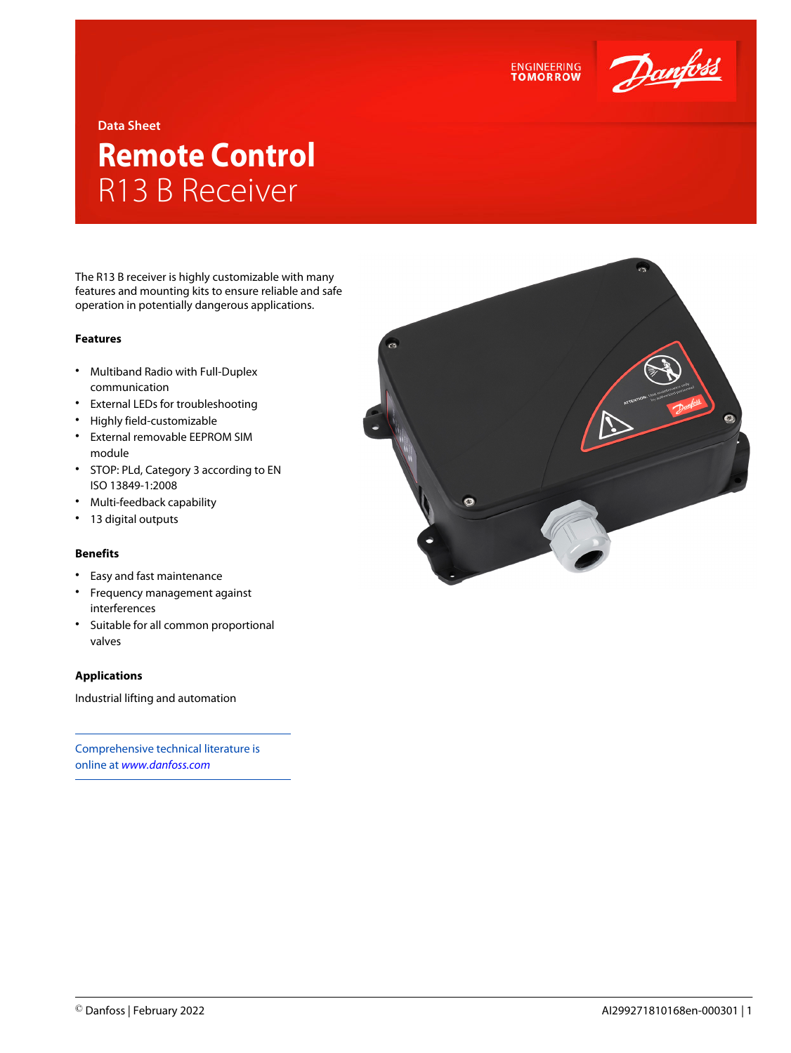

## **Data Sheet**

# **Remote Control** R13 B Receiver

The R13 B receiver is highly customizable with many features and mounting kits to ensure reliable and safe operation in potentially dangerous applications.

#### **Features**

- Multiband Radio with Full-Duplex communication
- External LEDs for troubleshooting
- Highly field-customizable
- External removable EEPROM SIM module
- STOP: PLd, Category 3 according to EN ISO 13849-1:2008
- Multi-feedback capability
- 13 digital outputs

## **Benefits**

- Easy and fast maintenance
- Frequency management against interferences
- Suitable for all common proportional valves

## **Applications**

Industrial lifting and automation

Comprehensive technical literature is online at *[www.danfoss.com](https://www.danfoss.com/en/search/?filter=type%3Adocumentation%2Csegment%3Adps)*



**ENGINEERING**<br>TOMORROW